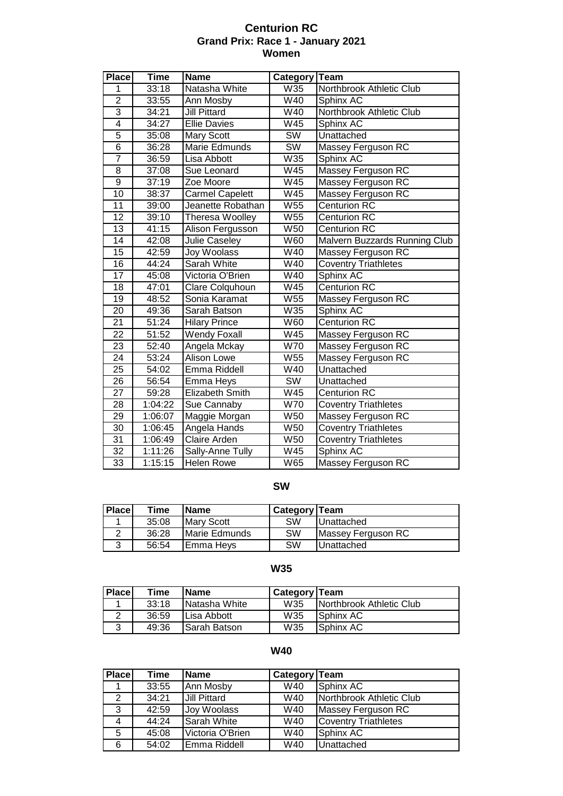### **Women Centurion RC Grand Prix: Race 1 - January 2021**

| <b>Place</b>    | <b>Time</b>        | <b>Name</b>            | Category               | Team                          |
|-----------------|--------------------|------------------------|------------------------|-------------------------------|
| 1               | 33:18              | Natasha White          | W35                    | Northbrook Athletic Club      |
| $\overline{2}$  | 33:55              | Ann Mosby              | W40                    | Sphinx AC                     |
| $\overline{3}$  | 34:21              | <b>Jill Pittard</b>    | W40                    | Northbrook Athletic Club      |
| $\overline{4}$  | 34:27              | <b>Ellie Davies</b>    | W45                    | Sphinx AC                     |
| $\overline{5}$  | 35:08              | <b>Mary Scott</b>      | $\overline{\text{SW}}$ | Unattached                    |
| $\overline{6}$  | 36:28              | Marie Edmunds          | <b>SW</b>              | <b>Massey Ferguson RC</b>     |
| 7               | 36:59              | Lisa Abbott            | W35                    | Sphinx AC                     |
| $\overline{8}$  | 37:08              | Sue Leonard            | W45                    | Massey Ferguson RC            |
| $\overline{9}$  | 37:19              | Zoe Moore              | W45                    | Massey Ferguson RC            |
| $\overline{10}$ | 38:37              | <b>Carmel Capelett</b> | W45                    | Massey Ferguson RC            |
| $\overline{11}$ | 39:00              | Jeanette Robathan      | W55                    | <b>Centurion RC</b>           |
| $\overline{12}$ | 39:10              | <b>Theresa Woolley</b> | W55                    | <b>Centurion RC</b>           |
| $\overline{13}$ | 41:15              | Alison Fergusson       | W50                    | <b>Centurion RC</b>           |
| $\overline{14}$ | 42:08              | <b>Julie Caseley</b>   | W60                    | Malvern Buzzards Running Club |
| $\overline{15}$ | 42:59              | Joy Woolass            | W40                    | <b>Massey Ferguson RC</b>     |
| 16              | 44:24              | <b>Sarah White</b>     | W40                    | <b>Coventry Triathletes</b>   |
| $\overline{17}$ | 45:08              | Victoria O'Brien       | W40                    | Sphinx AC                     |
| $\overline{18}$ | 47:01              | Clare Colquhoun        | W <sub>45</sub>        | <b>Centurion RC</b>           |
| 19              | 48:52              | Sonia Karamat          | W55                    | Massey Ferguson RC            |
| $\overline{20}$ | 49:36              | Sarah Batson           | W35                    | Sphinx AC                     |
| $\overline{21}$ | $\overline{51:}24$ | <b>Hilary Prince</b>   | W60                    | <b>Centurion RC</b>           |
| $\overline{22}$ | 51:52              | <b>Wendy Foxall</b>    | W45                    | Massey Ferguson RC            |
| 23              | 52:40              | Angela Mckay           | W70                    | Massey Ferguson RC            |
| $\overline{24}$ | 53:24              | <b>Alison Lowe</b>     | W55                    | Massey Ferguson RC            |
| $\overline{25}$ | 54:02              | Emma Riddell           | W40                    | Unattached                    |
| 26              | 56:54              | Emma Heys              | SW                     | Unattached                    |
| $\overline{27}$ | 59:28              | <b>Elizabeth Smith</b> | W <sub>45</sub>        | <b>Centurion RC</b>           |
| 28              | 1:04:22            | Sue Cannaby            | W70                    | <b>Coventry Triathletes</b>   |
| 29              | 1:06:07            | Maggie Morgan          | W <sub>50</sub>        | Massey Ferguson RC            |
| 30              | 1:06:45            | Angela Hands           | W <sub>50</sub>        | <b>Coventry Triathletes</b>   |
| $\overline{31}$ | 1:06:49            | <b>Claire Arden</b>    | W50                    | <b>Coventry Triathletes</b>   |
| $\overline{32}$ | 1:11:26            | Sally-Anne Tully       | W45                    | Sphinx AC                     |
| 33              | 1:15:15            | Helen Rowe             | W65                    | Massey Ferguson RC            |

# **SW**

| <b>Place</b> | Time  | lName              | l Category ITeam |                    |
|--------------|-------|--------------------|------------------|--------------------|
|              | 35:08 | <b>IMary Scott</b> | SW               | <b>Unattached</b>  |
|              | 36:28 | Marie Edmunds      | SW               | Massey Ferguson RC |
| າ            | 56:54 | Emma Hevs          | SW               | <b>IUnattached</b> |

# **W35**

| <b>Place</b> | <b>Time</b> | <b>IName</b>         | <b>Category Team</b> |                          |
|--------------|-------------|----------------------|----------------------|--------------------------|
|              | 33:18       | Natasha White        | W35                  | Northbrook Athletic Club |
|              | 36:59       | <b>I</b> Lisa Abbott | W35                  | Sphinx AC                |
| າ            | 49:36       | ISarah Batson        | W35                  | <b>Sphinx AC</b>         |

### **W40**

| Place | Time  | Name             | Category Team |                             |
|-------|-------|------------------|---------------|-----------------------------|
|       | 33:55 | Ann Mosby        | W40           | Sphinx AC                   |
| 2     | 34:21 | Jill Pittard     | W40           | Northbrook Athletic Club    |
| 3     | 42:59 | Joy Woolass      | W40           | Massey Ferguson RC          |
| 4     | 44:24 | Sarah White      | W40           | <b>Coventry Triathletes</b> |
| 5     | 45:08 | Victoria O'Brien | W40           | Sphinx AC                   |
| 6     | 54:02 | Emma Riddell     | W40           | Unattached                  |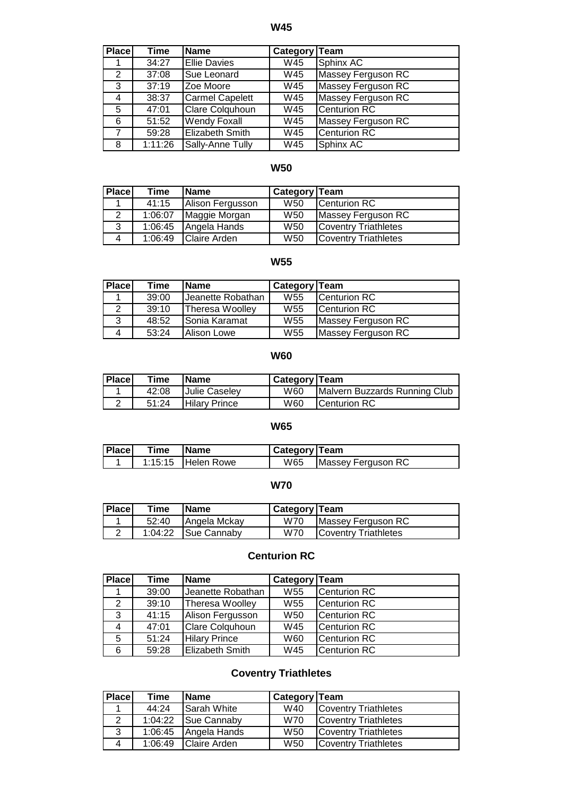**W45**

| <b>Place</b> | Time    | <b>Name</b>            | Category Team |                           |
|--------------|---------|------------------------|---------------|---------------------------|
|              | 34:27   | <b>Ellie Davies</b>    | W45           | Sphinx AC                 |
| 2            | 37:08   | Sue Leonard            | W45           | Massey Ferguson RC        |
| 3            | 37:19   | Zoe Moore              | W45           | Massey Ferguson RC        |
| 4            | 38:37   | <b>Carmel Capelett</b> | W45           | <b>Massey Ferguson RC</b> |
| 5            | 47:01   | Clare Colquhoun        | W45           | <b>Centurion RC</b>       |
| 6            | 51:52   | <b>Wendy Foxall</b>    | W45           | Massey Ferguson RC        |
| 7            | 59:28   | <b>Elizabeth Smith</b> | W45           | <b>Centurion RC</b>       |
| 8            | 1:11:26 | Sally-Anne Tully       | W45           | Sphinx AC                 |

# **W50**

| <b>Place</b>         | Time    | <b>Name</b>      | <b>Category Team</b> |                             |
|----------------------|---------|------------------|----------------------|-----------------------------|
|                      | 41:15   | Alison Fergusson | W <sub>50</sub>      | Centurion RC                |
| $\mathbf{2}^{\circ}$ | 1:06:07 | Maggie Morgan    | W50                  | Massey Ferguson RC          |
| 3                    | 1:06:45 | Angela Hands     | W50                  | <b>Coventry Triathletes</b> |
| 4                    | 1:06:49 | Claire Arden     | W50                  | <b>Coventry Triathletes</b> |

### **W55**

| <b>Place</b> | Time  | <b>Name</b>          | Category Team   |                    |
|--------------|-------|----------------------|-----------------|--------------------|
|              | 39:00 | Jeanette Robathan    | W <sub>55</sub> | Centurion RC       |
|              | 39:10 | Theresa Woolley      | W <sub>55</sub> | Centurion RC       |
| 3            | 48:52 | <b>Sonia Karamat</b> | W55             | Massey Ferguson RC |
| 4            | 53:24 | Alison Lowe          | W <sub>55</sub> | Massey Ferguson RC |

## **W60**

| <b>Place</b> | Time  | <b>Name</b>          | Category   Team |                               |
|--------------|-------|----------------------|-----------------|-------------------------------|
|              | 42:08 | Julie Caseley        | W60             | Malvern Buzzards Running Club |
|              | 51:24 | <b>Hilary Prince</b> | W60             | <b>ICenturion RC</b>          |

### **W65**

| <b>Place</b> | <b>Time</b> | <b>Name</b>          | Category   Team |                    |
|--------------|-------------|----------------------|-----------------|--------------------|
|              |             | $1:15:15$ Helen Rowe | W65             | Massey Ferguson RC |

### **W70**

| <b>Place</b> | Time  | <b>IName</b>        | <b>Category Team</b> |                      |
|--------------|-------|---------------------|----------------------|----------------------|
|              | 52:40 | Angela Mckay        | W70                  | Massey Ferguson RC   |
|              |       | 1:04:22 Sue Cannaby | W70                  | Coventry Triathletes |

# **Centurion RC**

| <b>Place</b> | Time  | <b>Name</b>          | Category Team   |                     |
|--------------|-------|----------------------|-----------------|---------------------|
|              | 39:00 | Jeanette Robathan    | W <sub>55</sub> | <b>Centurion RC</b> |
| 2            | 39:10 | Theresa Woolley      | W <sub>55</sub> | <b>Centurion RC</b> |
| 3            | 41:15 | Alison Fergusson     | W <sub>50</sub> | Centurion RC        |
| 4            | 47:01 | Clare Colquhoun      | W45             | Centurion RC        |
| 5.           | 51:24 | <b>Hilary Prince</b> | W60             | Centurion RC        |
| 6            | 59:28 | Elizabeth Smith      | W45             | <b>Centurion RC</b> |

# **Coventry Triathletes**

| <b>Place</b>          | Time  | <b>Name</b>          | Category Team   |                             |
|-----------------------|-------|----------------------|-----------------|-----------------------------|
|                       | 44:24 | Sarah White          | W40             | Coventry Triathletes        |
| $\mathbf{2}^{\prime}$ |       | 1:04:22 Sue Cannaby  | W70             | Coventry Triathletes        |
| 3                     |       | 1:06:45 Angela Hands | W <sub>50</sub> | Coventry Triathletes        |
| $\overline{A}$        |       | 1:06:49 Claire Arden | W <sub>50</sub> | <b>Coventry Triathletes</b> |